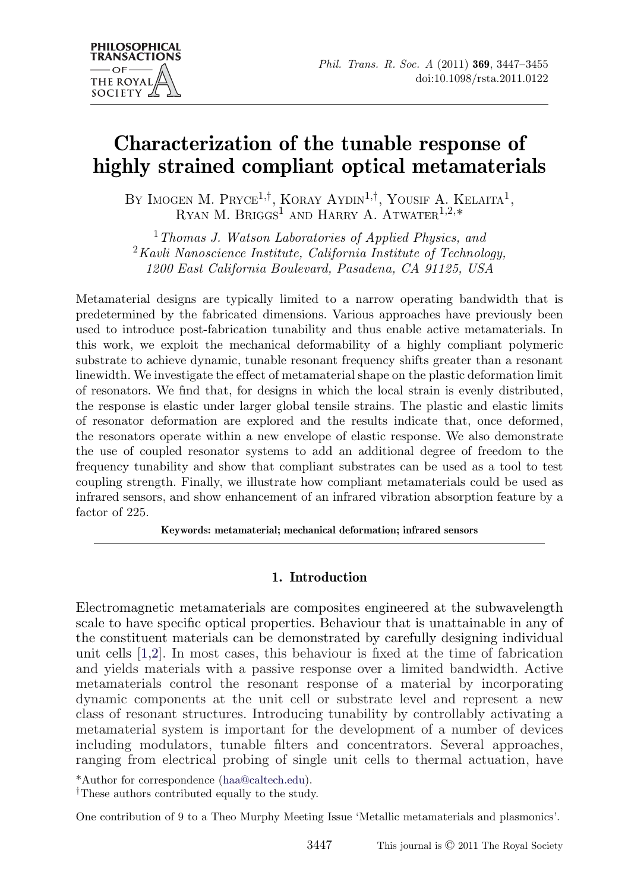# **Characterization of the tunable response of highly strained compliant optical metamaterials**

BY IMOGEN M. PRYCE<sup>1,†</sup>, KORAY AYDIN<sup>1,†</sup>, YOUSIF A. KELAITA<sup>1</sup>, RYAN M. BRIGGS<sup>1</sup> AND HARRY A. ATWATER<sup>1,2,\*</sup>

<sup>1</sup>*Thomas J. Watson Laboratories of Applied Physics, and* <sup>2</sup>*Kavli Nanoscience Institute, California Institute of Technology, 1200 East California Boulevard, Pasadena, CA 91125, USA*

Metamaterial designs are typically limited to a narrow operating bandwidth that is predetermined by the fabricated dimensions. Various approaches have previously been used to introduce post-fabrication tunability and thus enable active metamaterials. In this work, we exploit the mechanical deformability of a highly compliant polymeric substrate to achieve dynamic, tunable resonant frequency shifts greater than a resonant linewidth. We investigate the effect of metamaterial shape on the plastic deformation limit of resonators. We find that, for designs in which the local strain is evenly distributed, the response is elastic under larger global tensile strains. The plastic and elastic limits of resonator deformation are explored and the results indicate that, once deformed, the resonators operate within a new envelope of elastic response. We also demonstrate the use of coupled resonator systems to add an additional degree of freedom to the frequency tunability and show that compliant substrates can be used as a tool to test coupling strength. Finally, we illustrate how compliant metamaterials could be used as infrared sensors, and show enhancement of an infrared vibration absorption feature by a factor of 225

**Keywords: metamaterial; mechanical deformation; infrared sensors**

## **1. Introduction**

Electromagnetic metamaterials are composites engineered at the subwavelength scale to have specific optical properties. Behaviour that is unattainable in any of the constituent materials can be demonstrated by carefully designing individual unit cells [\[1,2\]](#page-7-0). In most cases, this behaviour is fixed at the time of fabrication and yields materials with a passive response over a limited bandwidth. Active metamaterials control the resonant response of a material by incorporating dynamic components at the unit cell or substrate level and represent a new class of resonant structures. Introducing tunability by controllably activating a metamaterial system is important for the development of a number of devices including modulators, tunable filters and concentrators. Several approaches, ranging from electrical probing of single unit cells to thermal actuation, have

\*Author for correspondence [\(haa@caltech.edu\)](mailto:haa@caltech.edu). †These authors contributed equally to the study.

One contribution of 9 to a Theo Murphy Meeting Issue 'Metallic metamaterials and plasmonics'.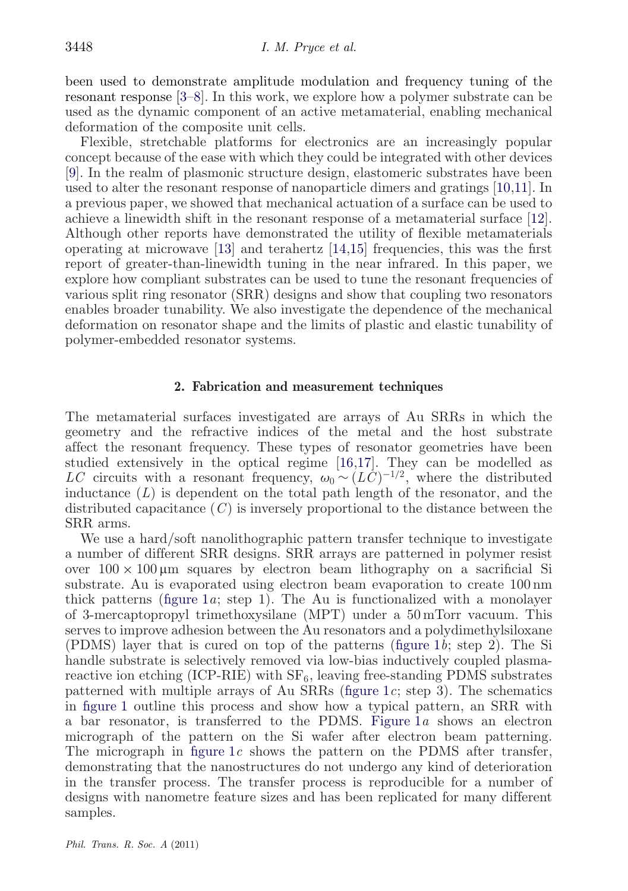been used to demonstrate amplitude modulation and frequency tuning of the resonant response [\[3–](#page-7-0)[8\]](#page-8-0). In this work, we explore how a polymer substrate can be used as the dynamic component of an active metamaterial, enabling mechanical deformation of the composite unit cells.

Flexible, stretchable platforms for electronics are an increasingly popular concept because of the ease with which they could be integrated with other devices [\[9\]](#page-8-0). In the realm of plasmonic structure design, elastomeric substrates have been used to alter the resonant response of nanoparticle dimers and gratings [\[10,11\]](#page-8-0). In a previous paper, we showed that mechanical actuation of a surface can be used to achieve a linewidth shift in the resonant response of a metamaterial surface [\[12\]](#page-8-0). Although other reports have demonstrated the utility of flexible metamaterials operating at microwave [\[13\]](#page-8-0) and terahertz [\[14,15\]](#page-8-0) frequencies, this was the first report of greater-than-linewidth tuning in the near infrared. In this paper, we explore how compliant substrates can be used to tune the resonant frequencies of various split ring resonator (SRR) designs and show that coupling two resonators enables broader tunability. We also investigate the dependence of the mechanical deformation on resonator shape and the limits of plastic and elastic tunability of polymer-embedded resonator systems.

#### **2. Fabrication and measurement techniques**

The metamaterial surfaces investigated are arrays of Au SRRs in which the geometry and the refractive indices of the metal and the host substrate affect the resonant frequency. These types of resonator geometries have been studied extensively in the optical regime [\[16,17\]](#page-8-0). They can be modelled as *LC* circuits with a resonant frequency,  $\omega_0 \sim (L\dot{C})^{-1/2}$ , where the distributed inductance (*L*) is dependent on the total path length of the resonator, and the distributed capacitance (*C*) is inversely proportional to the distance between the SRR arms.

We use a hard/soft nanolithographic pattern transfer technique to investigate a number of different SRR designs. SRR arrays are patterned in polymer resist over  $100 \times 100 \mu m$  squares by electron beam lithography on a sacrificial Si substrate. Au is evaporated using electron beam evaporation to create 100 nm thick patterns [\(figure 1](#page-2-0)*a*; step 1). The Au is functionalized with a monolayer of 3-mercaptopropyl trimethoxysilane (MPT) under a 50 mTorr vacuum. This serves to improve adhesion between the Au resonators and a polydimethylsiloxane (PDMS) layer that is cured on top of the patterns [\(figure 1](#page-2-0)*b*; step 2). The Si handle substrate is selectively removed via low-bias inductively coupled plasmareactive ion etching  $(ICP-RIE)$  with  $SF<sub>6</sub>$ , leaving free-standing PDMS substrates patterned with multiple arrays of Au SRRs [\(figure 1](#page-2-0)*c*; step 3). The schematics in [figure 1](#page-2-0) outline this process and show how a typical pattern, an SRR with a bar resonator, is transferred to the PDMS. [Figure 1](#page-2-0)*a* shows an electron micrograph of the pattern on the Si wafer after electron beam patterning. The micrograph in [figure 1](#page-2-0)*c* shows the pattern on the PDMS after transfer, demonstrating that the nanostructures do not undergo any kind of deterioration in the transfer process. The transfer process is reproducible for a number of designs with nanometre feature sizes and has been replicated for many different samples.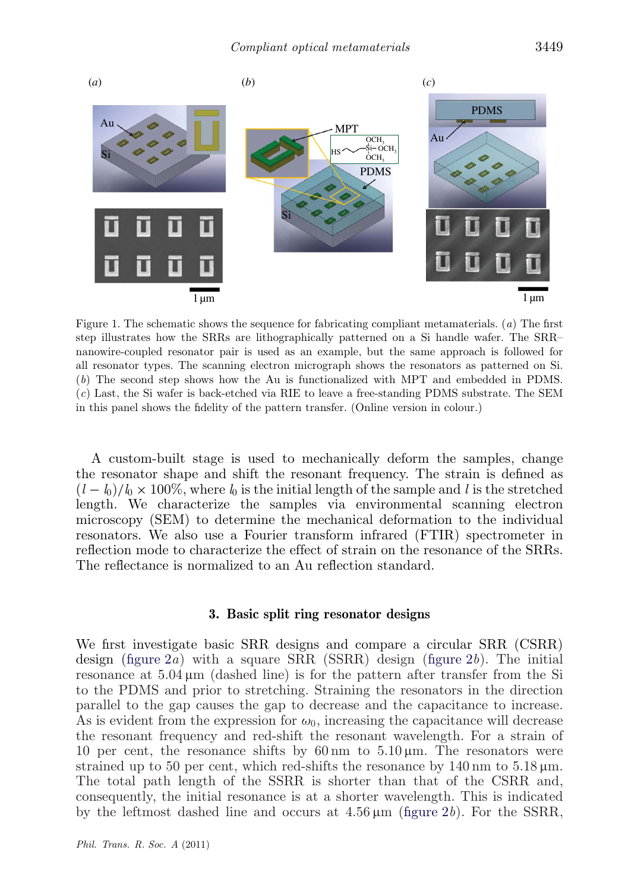<span id="page-2-0"></span>

Figure 1. The schematic shows the sequence for fabricating compliant metamaterials. (*a*) The first step illustrates how the SRRs are lithographically patterned on a Si handle wafer. The SRR– nanowire-coupled resonator pair is used as an example, but the same approach is followed for all resonator types. The scanning electron micrograph shows the resonators as patterned on Si. (*b*) The second step shows how the Au is functionalized with MPT and embedded in PDMS. (*c*) Last, the Si wafer is back-etched via RIE to leave a free-standing PDMS substrate. The SEM in this panel shows the fidelity of the pattern transfer. (Online version in colour.)

A custom-built stage is used to mechanically deform the samples, change the resonator shape and shift the resonant frequency. The strain is defined as  $(l - l_0)/l_0 \times 100\%$ , where  $l_0$  is the initial length of the sample and *l* is the stretched length. We characterize the samples via environmental scanning electron microscopy (SEM) to determine the mechanical deformation to the individual resonators. We also use a Fourier transform infrared (FTIR) spectrometer in reflection mode to characterize the effect of strain on the resonance of the SRRs. The reflectance is normalized to an Au reflection standard.

#### **3. Basic split ring resonator designs**

We first investigate basic SRR designs and compare a circular SRR (CSRR) design [\(figure 2](#page-3-0)*a*) with a square SRR (SSRR) design [\(figure 2](#page-3-0)*b*). The initial resonance at  $5.04 \mu m$  (dashed line) is for the pattern after transfer from the Si to the PDMS and prior to stretching. Straining the resonators in the direction parallel to the gap causes the gap to decrease and the capacitance to increase. As is evident from the expression for  $\omega_0$ , increasing the capacitance will decrease the resonant frequency and red-shift the resonant wavelength. For a strain of 10 per cent, the resonance shifts by 60 nm to  $5.10 \,\mu$ m. The resonators were strained up to 50 per cent, which red-shifts the resonance by  $140 \text{ nm}$  to  $5.18 \mu \text{m}$ . The total path length of the SSRR is shorter than that of the CSRR and, consequently, the initial resonance is at a shorter wavelength. This is indicated by the leftmost dashed line and occurs at  $4.56 \,\mu\text{m}$  [\(figure 2](#page-3-0)*b*). For the SSRR,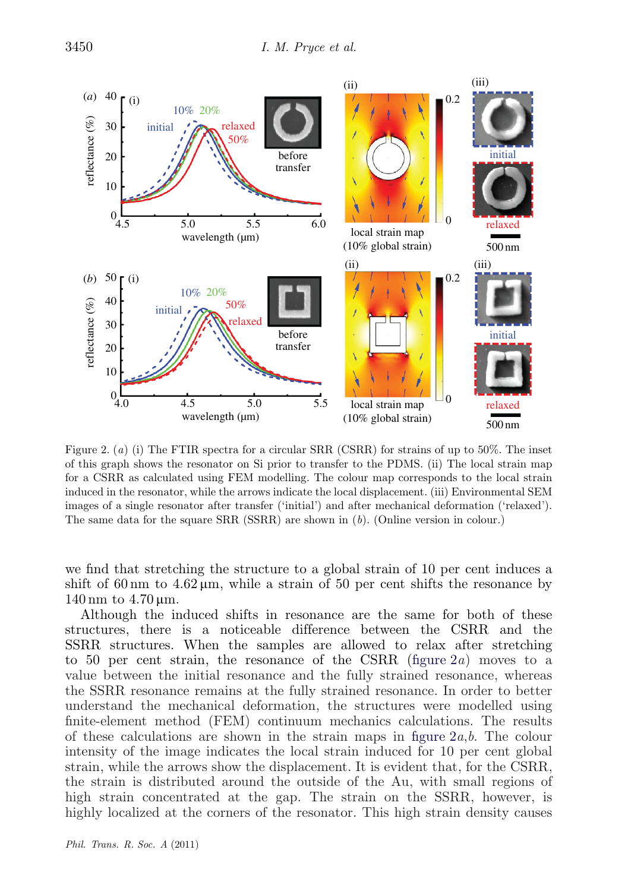<span id="page-3-0"></span>

Figure 2. (*a*) (i) The FTIR spectra for a circular SRR (CSRR) for strains of up to 50%. The inset of this graph shows the resonator on Si prior to transfer to the PDMS. (ii) The local strain map for a CSRR as calculated using FEM modelling. The colour map corresponds to the local strain induced in the resonator, while the arrows indicate the local displacement. (iii) Environmental SEM images of a single resonator after transfer ('initial') and after mechanical deformation ('relaxed'). The same data for the square SRR (SSRR) are shown in (*b*). (Online version in colour.)

we find that stretching the structure to a global strain of 10 per cent induces a shift of 60 nm to  $4.62 \mu$ m, while a strain of 50 per cent shifts the resonance by 140 nm to  $4.70 \,\mathrm{\upmu m}$ .

Although the induced shifts in resonance are the same for both of these structures, there is a noticeable difference between the CSRR and the SSRR structures. When the samples are allowed to relax after stretching to 50 per cent strain, the resonance of the CSRR (figure 2*a*) moves to a value between the initial resonance and the fully strained resonance, whereas the SSRR resonance remains at the fully strained resonance. In order to better understand the mechanical deformation, the structures were modelled using finite-element method (FEM) continuum mechanics calculations. The results of these calculations are shown in the strain maps in figure 2*a*,*b*. The colour intensity of the image indicates the local strain induced for 10 per cent global strain, while the arrows show the displacement. It is evident that, for the CSRR, the strain is distributed around the outside of the Au, with small regions of high strain concentrated at the gap. The strain on the SSRR, however, is highly localized at the corners of the resonator. This high strain density causes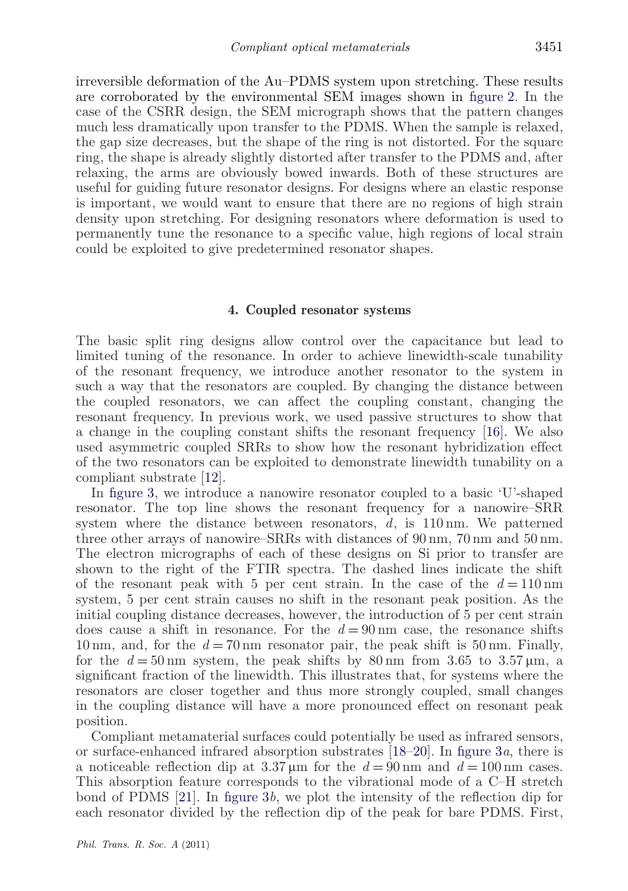irreversible deformation of the Au–PDMS system upon stretching. These results are corroborated by the environmental SEM images shown in [figure 2.](#page-3-0) In the case of the CSRR design, the SEM micrograph shows that the pattern changes much less dramatically upon transfer to the PDMS. When the sample is relaxed, the gap size decreases, but the shape of the ring is not distorted. For the square ring, the shape is already slightly distorted after transfer to the PDMS and, after relaxing, the arms are obviously bowed inwards. Both of these structures are useful for guiding future resonator designs. For designs where an elastic response is important, we would want to ensure that there are no regions of high strain density upon stretching. For designing resonators where deformation is used to permanently tune the resonance to a specific value, high regions of local strain could be exploited to give predetermined resonator shapes.

#### **4. Coupled resonator systems**

The basic split ring designs allow control over the capacitance but lead to limited tuning of the resonance. In order to achieve linewidth-scale tunability of the resonant frequency, we introduce another resonator to the system in such a way that the resonators are coupled. By changing the distance between the coupled resonators, we can affect the coupling constant, changing the resonant frequency. In previous work, we used passive structures to show that a change in the coupling constant shifts the resonant frequency [\[16\]](#page-8-0). We also used asymmetric coupled SRRs to show how the resonant hybridization effect of the two resonators can be exploited to demonstrate linewidth tunability on a compliant substrate [\[12\]](#page-8-0).

In [figure 3,](#page-5-0) we introduce a nanowire resonator coupled to a basic 'U'-shaped resonator. The top line shows the resonant frequency for a nanowire–SRR system where the distance between resonators, *d*, is 110 nm. We patterned three other arrays of nanowire–SRRs with distances of 90 nm, 70 nm and 50 nm. The electron micrographs of each of these designs on Si prior to transfer are shown to the right of the FTIR spectra. The dashed lines indicate the shift of the resonant peak with 5 per cent strain. In the case of the  $d = 110 \text{ nm}$ system, 5 per cent strain causes no shift in the resonant peak position. As the initial coupling distance decreases, however, the introduction of 5 per cent strain does cause a shift in resonance. For the *d* = 90 nm case, the resonance shifts 10 nm, and, for the  $d = 70$  nm resonator pair, the peak shift is 50 nm. Finally, for the  $d = 50 \text{ nm}$  system, the peak shifts by  $80 \text{ nm}$  from 3.65 to  $3.57 \mu \text{m}$ , a significant fraction of the linewidth. This illustrates that, for systems where the resonators are closer together and thus more strongly coupled, small changes in the coupling distance will have a more pronounced effect on resonant peak position.

Compliant metamaterial surfaces could potentially be used as infrared sensors, or surface-enhanced infrared absorption substrates [\[18–20\]](#page-8-0). In [figure 3](#page-5-0)*a*, there is a noticeable reflection dip at  $3.37 \,\mu\text{m}$  for the  $d = 90 \,\text{nm}$  and  $d = 100 \,\text{nm}$  cases. This absorption feature corresponds to the vibrational mode of a C–H stretch bond of PDMS [\[21\]](#page-8-0). In [figure 3](#page-5-0)*b*, we plot the intensity of the reflection dip for each resonator divided by the reflection dip of the peak for bare PDMS. First,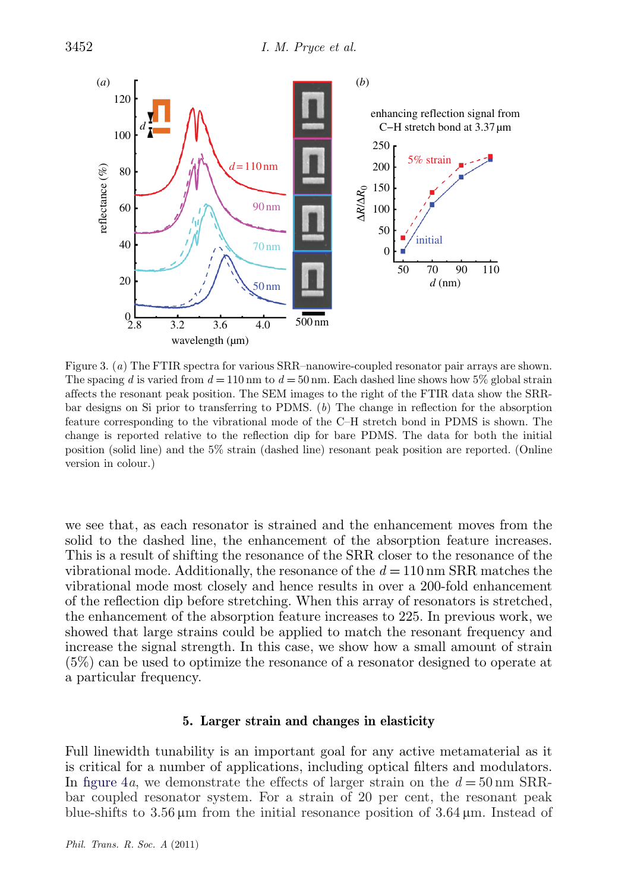<span id="page-5-0"></span>

Figure 3. (*a*) The FTIR spectra for various SRR–nanowire-coupled resonator pair arrays are shown. The spacing *d* is varied from  $d = 110 \text{ nm}$  to  $d = 50 \text{ nm}$ . Each dashed line shows how 5% global strain affects the resonant peak position. The SEM images to the right of the FTIR data show the SRRbar designs on Si prior to transferring to PDMS. (*b*) The change in reflection for the absorption feature corresponding to the vibrational mode of the C–H stretch bond in PDMS is shown. The change is reported relative to the reflection dip for bare PDMS. The data for both the initial position (solid line) and the 5% strain (dashed line) resonant peak position are reported. (Online version in colour.)

we see that, as each resonator is strained and the enhancement moves from the solid to the dashed line, the enhancement of the absorption feature increases. This is a result of shifting the resonance of the SRR closer to the resonance of the vibrational mode. Additionally, the resonance of the  $d = 110 \text{ nm}$  SRR matches the vibrational mode most closely and hence results in over a 200-fold enhancement of the reflection dip before stretching. When this array of resonators is stretched, the enhancement of the absorption feature increases to 225. In previous work, we showed that large strains could be applied to match the resonant frequency and increase the signal strength. In this case, we show how a small amount of strain (5%) can be used to optimize the resonance of a resonator designed to operate at a particular frequency.

#### **5. Larger strain and changes in elasticity**

Full linewidth tunability is an important goal for any active metamaterial as it is critical for a number of applications, including optical filters and modulators. In [figure 4](#page-6-0)*a*, we demonstrate the effects of larger strain on the  $d = 50 \text{ nm}$  SRRbar coupled resonator system. For a strain of 20 per cent, the resonant peak blue-shifts to  $3.56 \mu m$  from the initial resonance position of  $3.64 \mu m$ . Instead of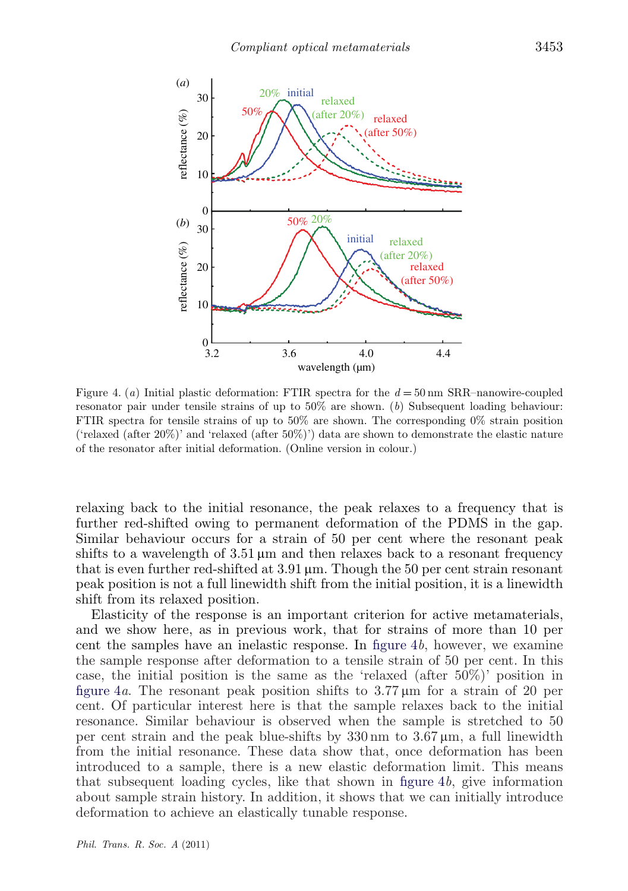<span id="page-6-0"></span>

Figure 4. (*a*) Initial plastic deformation: FTIR spectra for the *d* = 50 nm SRR–nanowire-coupled resonator pair under tensile strains of up to 50% are shown. (*b*) Subsequent loading behaviour: FTIR spectra for tensile strains of up to 50% are shown. The corresponding 0% strain position ('relaxed (after 20%)' and 'relaxed (after 50%)') data are shown to demonstrate the elastic nature of the resonator after initial deformation. (Online version in colour.)

relaxing back to the initial resonance, the peak relaxes to a frequency that is further red-shifted owing to permanent deformation of the PDMS in the gap. Similar behaviour occurs for a strain of 50 per cent where the resonant peak shifts to a wavelength of  $3.51 \mu m$  and then relaxes back to a resonant frequency that is even further red-shifted at  $3.91 \,\mu m$ . Though the 50 per cent strain resonant peak position is not a full linewidth shift from the initial position, it is a linewidth shift from its relaxed position.

Elasticity of the response is an important criterion for active metamaterials, and we show here, as in previous work, that for strains of more than 10 per cent the samples have an inelastic response. In figure 4*b*, however, we examine the sample response after deformation to a tensile strain of 50 per cent. In this case, the initial position is the same as the 'relaxed (after 50%)' position in figure 4*a*. The resonant peak position shifts to  $3.77 \,\mu \text{m}$  for a strain of 20 per cent. Of particular interest here is that the sample relaxes back to the initial resonance. Similar behaviour is observed when the sample is stretched to 50 per cent strain and the peak blue-shifts by  $330 \text{ nm}$  to  $3.67 \mu \text{m}$ , a full linewidth from the initial resonance. These data show that, once deformation has been introduced to a sample, there is a new elastic deformation limit. This means that subsequent loading cycles, like that shown in figure 4*b*, give information about sample strain history. In addition, it shows that we can initially introduce deformation to achieve an elastically tunable response.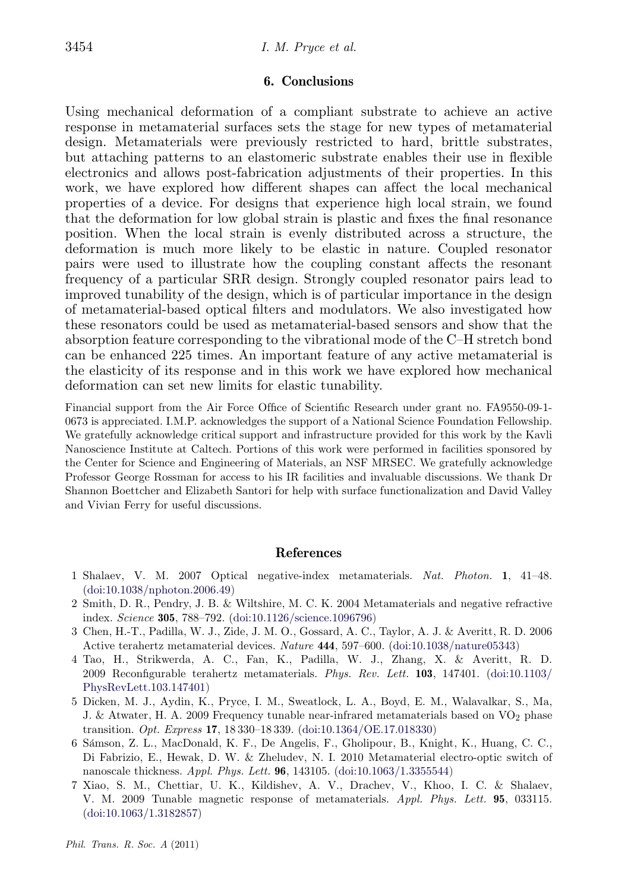### **6. Conclusions**

<span id="page-7-0"></span>Using mechanical deformation of a compliant substrate to achieve an active response in metamaterial surfaces sets the stage for new types of metamaterial design. Metamaterials were previously restricted to hard, brittle substrates, but attaching patterns to an elastomeric substrate enables their use in flexible electronics and allows post-fabrication adjustments of their properties. In this work, we have explored how different shapes can affect the local mechanical properties of a device. For designs that experience high local strain, we found that the deformation for low global strain is plastic and fixes the final resonance position. When the local strain is evenly distributed across a structure, the deformation is much more likely to be elastic in nature. Coupled resonator pairs were used to illustrate how the coupling constant affects the resonant frequency of a particular SRR design. Strongly coupled resonator pairs lead to improved tunability of the design, which is of particular importance in the design of metamaterial-based optical filters and modulators. We also investigated how these resonators could be used as metamaterial-based sensors and show that the absorption feature corresponding to the vibrational mode of the C–H stretch bond can be enhanced 225 times. An important feature of any active metamaterial is the elasticity of its response and in this work we have explored how mechanical deformation can set new limits for elastic tunability.

Financial support from the Air Force Office of Scientific Research under grant no. FA9550-09-1- 0673 is appreciated. I.M.P. acknowledges the support of a National Science Foundation Fellowship. We gratefully acknowledge critical support and infrastructure provided for this work by the Kavli Nanoscience Institute at Caltech. Portions of this work were performed in facilities sponsored by the Center for Science and Engineering of Materials, an NSF MRSEC. We gratefully acknowledge Professor George Rossman for access to his IR facilities and invaluable discussions. We thank Dr Shannon Boettcher and Elizabeth Santori for help with surface functionalization and David Valley and Vivian Ferry for useful discussions.

#### **References**

- 1 Shalaev, V. M. 2007 Optical negative-index metamaterials. *Nat. Photon.* **1**, 41–48. [\(doi:10.1038/nphoton.2006.49\)](http://dx.doi.org/doi:10.1038/nphoton.2006.49)
- 2 Smith, D. R., Pendry, J. B. & Wiltshire, M. C. K. 2004 Metamaterials and negative refractive index. *Science* **305**, 788–792. [\(doi:10.1126/science.1096796\)](http://dx.doi.org/doi:10.1126/science.1096796)
- 3 Chen, H.-T., Padilla, W. J., Zide, J. M. O., Gossard, A. C., Taylor, A. J. & Averitt, R. D. 2006 Active terahertz metamaterial devices. *Nature* **444**, 597–600. [\(doi:10.1038/nature05343\)](http://dx.doi.org/doi:10.1038/nature05343)
- 4 Tao, H., Strikwerda, A. C., Fan, K., Padilla, W. J., Zhang, X. & Averitt, R. D. 2009 Reconfigurable terahertz metamaterials. *Phys. Rev. Lett.* **103**, 147401. [\(doi:10.1103/](http://dx.doi.org/doi:10.1103/PhysRevLett.103.147401) [PhysRevLett.103.147401\)](http://dx.doi.org/doi:10.1103/PhysRevLett.103.147401)
- 5 Dicken, M. J., Aydin, K., Pryce, I. M., Sweatlock, L. A., Boyd, E. M., Walavalkar, S., Ma, J. & Atwater, H. A. 2009 Frequency tunable near-infrared metamaterials based on  $VO<sub>2</sub>$  phase transition. *Opt. Express* **17**, 18 330–18 339. [\(doi:10.1364/OE.17.018330\)](http://dx.doi.org/doi:10.1364/OE.17.018330)
- 6 Sámson, Z. L., MacDonald, K. F., De Angelis, F., Gholipour, B., Knight, K., Huang, C. C., Di Fabrizio, E., Hewak, D. W. & Zheludev, N. I. 2010 Metamaterial electro-optic switch of nanoscale thickness. *Appl. Phys. Lett.* **96**, 143105. [\(doi:10.1063/1.3355544\)](http://dx.doi.org/doi:10.1063/1.3355544)
- 7 Xiao, S. M., Chettiar, U. K., Kildishev, A. V., Drachev, V., Khoo, I. C. & Shalaev, V. M. 2009 Tunable magnetic response of metamaterials. *Appl. Phys. Lett.* **95**, 033115. [\(doi:10.1063/1.3182857\)](http://dx.doi.org/doi:10.1063/1.3182857)